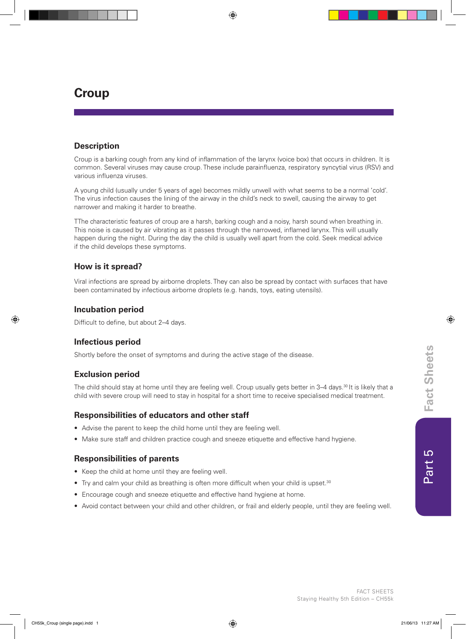#### FACT SHEETS Staying Healthy 5th Edition – CH55k

 $\overline{c}$ 

l tig

# **Croup**

### **Description**

Croup is a barking cough from any kind of inflammation of the larynx (voice box) that occurs in children. It is common. Several viruses may cause croup. These include parainfluenza, respiratory syncytial virus (RSV) and various influenza viruses.

A young child (usually under 5 years of age) becomes mildly unwell with what seems to be a normal 'cold'. The virus infection causes the lining of the airway in the child's neck to swell, causing the airway to get narrower and making it harder to breathe.

TThe characteristic features of croup are a harsh, barking cough and a noisy, harsh sound when breathing in. This noise is caused by air vibrating as it passes through the narrowed, inflamed larynx. This will usually happen during the night. During the day the child is usually well apart from the cold. Seek medical advice if the child develops these symptoms.

### **How is it spread?**

Viral infections are spread by airborne droplets. They can also be spread by contact with surfaces that have been contaminated by infectious airborne droplets (e.g. hands, toys, eating utensils).

#### **Incubation period**

Difficult to define, but about 2–4 days.

#### **Infectious period**

Shortly before the onset of symptoms and during the active stage of the disease.

#### **Exclusion period**

The child should stay at home until they are feeling well. Croup usually gets better in 3–4 days.<sup>30</sup> It is likely that a child with severe croup will need to stay in hospital for a short time to receive specialised medical treatment.

#### **Responsibilities of educators and other staff**

- Advise the parent to keep the child home until they are feeling well.
- Make sure staff and children practice cough and sneeze etiquette and effective hand hygiene.

#### **Responsibilities of parents**

- Keep the child at home until they are feeling well.
- Try and calm your child as breathing is often more difficult when your child is upset.<sup>30</sup>
- Encourage cough and sneeze etiquette and effective hand hygiene at home.
- Avoid contact between your child and other children, or frail and elderly people, until they are feeling well.